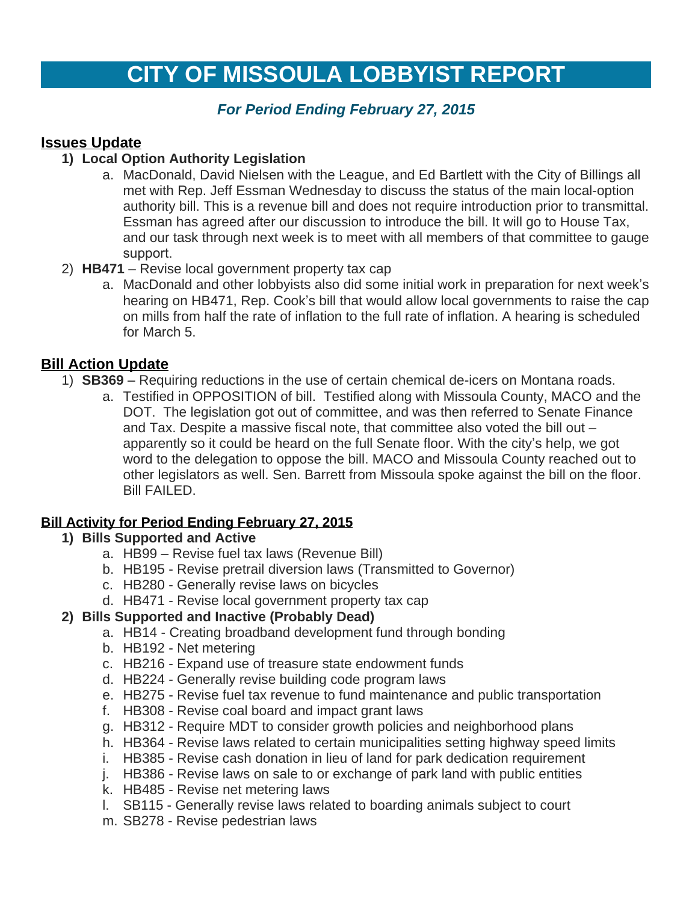# **CITY OF MISSOULA LOBBYIST REPORT**

## *For Period Ending February 27, 2015*

## **Issues Update**

## **1) Local Option Authority Legislation**

- a. MacDonald, David Nielsen with the League, and Ed Bartlett with the City of Billings all met with Rep. Jeff Essman Wednesday to discuss the status of the main local-option authority bill. This is a revenue bill and does not require introduction prior to transmittal. Essman has agreed after our discussion to introduce the bill. It will go to House Tax, and our task through next week is to meet with all members of that committee to gauge support.
- 2) **HB471** Revise local government property tax cap
	- a. MacDonald and other lobbyists also did some initial work in preparation for next week's hearing on HB471, Rep. Cook's bill that would allow local governments to raise the cap on mills from half the rate of inflation to the full rate of inflation. A hearing is scheduled for March 5.

## **Bill Action Update**

- 1) **SB369** Requiring reductions in the use of certain chemical de-icers on Montana roads.
	- a. Testified in OPPOSITION of bill. Testified along with Missoula County, MACO and the DOT. The legislation got out of committee, and was then referred to Senate Finance and Tax. Despite a massive fiscal note, that committee also voted the bill out – apparently so it could be heard on the full Senate floor. With the city's help, we got word to the delegation to oppose the bill. MACO and Missoula County reached out to other legislators as well. Sen. Barrett from Missoula spoke against the bill on the floor. Bill FAILED.

#### **Bill Activity for Period Ending February 27, 2015**

#### **1) Bills Supported and Active**

- a. HB99 Revise fuel tax laws (Revenue Bill)
- b. HB195 Revise pretrail diversion laws (Transmitted to Governor)
- c. HB280 Generally revise laws on bicycles
- d. HB471 Revise local government property tax cap

# **2) Bills Supported and Inactive (Probably Dead)**

- a. HB14 Creating broadband development fund through bonding
- b. HB192 Net metering
- c. HB216 Expand use of treasure state endowment funds
- d. HB224 Generally revise building code program laws
- e. HB275 Revise fuel tax revenue to fund maintenance and public transportation
- f. HB308 Revise coal board and impact grant laws
- g. HB312 Require MDT to consider growth policies and neighborhood plans
- h. HB364 Revise laws related to certain municipalities setting highway speed limits
- i. HB385 Revise cash donation in lieu of land for park dedication requirement
- j. HB386 Revise laws on sale to or exchange of park land with public entities
- k. HB485 Revise net metering laws
- l. SB115 Generally revise laws related to boarding animals subject to court
- m. SB278 Revise pedestrian laws